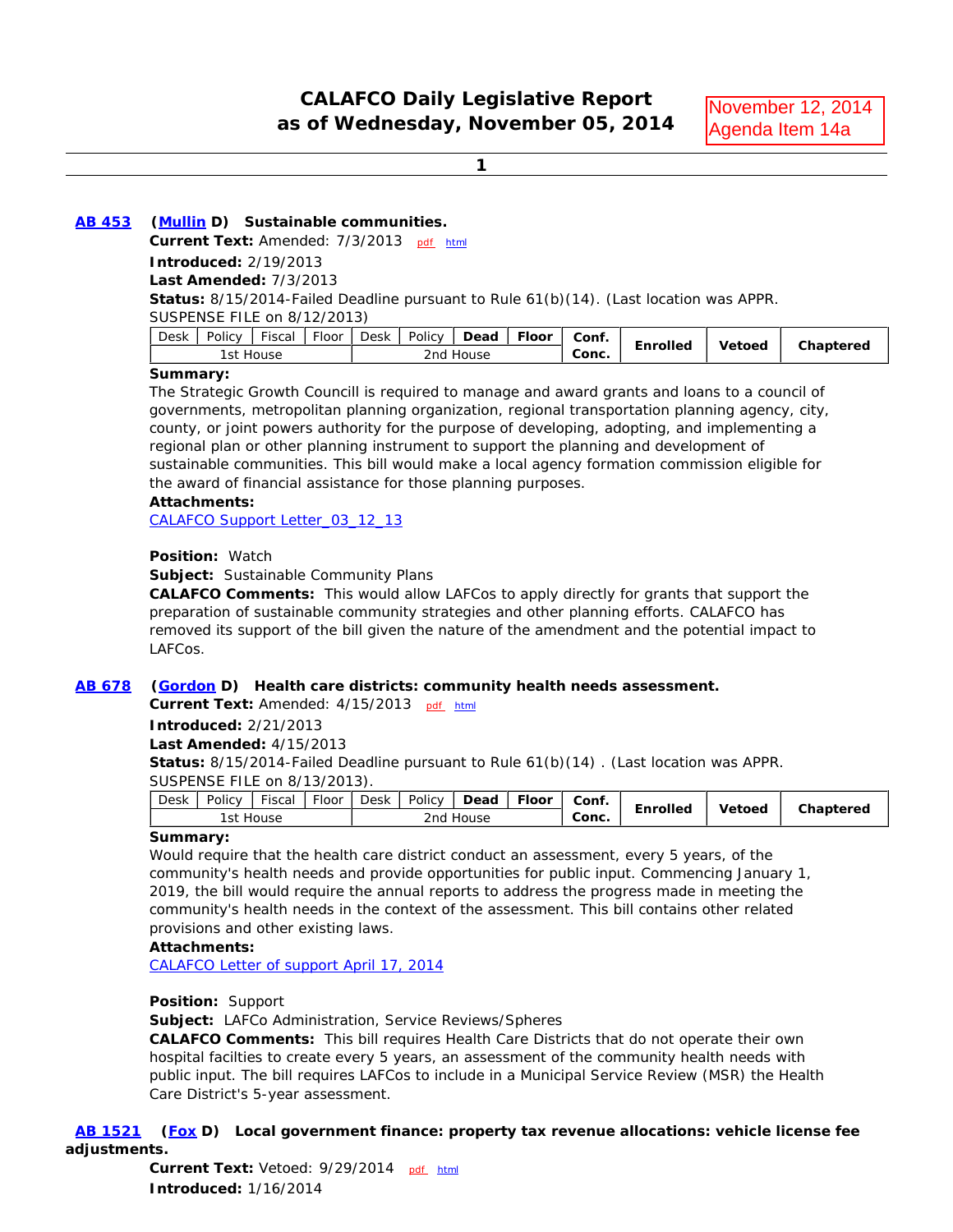**1**

### **AB 453 (Mullin D) Sustainable communities.**

**Current Text:** Amended: 7/3/2013 pdf html

**Introduced:** 2/19/2013

**Last Amended:** 7/3/2013

**Status:** 8/15/2014-Failed Deadline pursuant to Rule 61(b)(14). (Last location was APPR.

SUSPENSE FILE on 8/12/2013)

| Desk | Policy                        | $- \cdot$<br>Tiscal | Floor | Desk | Policy | Dead | <b>Floor</b> | Conf. | Enrolled | Vetoed | Chaptered |
|------|-------------------------------|---------------------|-------|------|--------|------|--------------|-------|----------|--------|-----------|
|      | l st<br>2nd<br>House<br>House |                     |       |      |        |      | Conc.        |       |          |        |           |

#### **Summary:**

The Strategic Growth Councill is required to manage and award grants and loans to a council of governments, metropolitan planning organization, regional transportation planning agency, city, county, or joint powers authority for the purpose of developing, adopting, and implementing a regional plan or other planning instrument to support the planning and development of sustainable communities. This bill would make a local agency formation commission eligible for the award of financial assistance for those planning purposes. **IS CONSECT CONSECT CONSECT (ACCORD CONSECT) AND CONSECT (ACCORD CONSECT) AND CONSECT (ACCORD CONSECT) AND CONSECT (ACCORD CONSECT) (ACCORD CONSECT) (ACCORD CONSECT) (ACCORD CONSECT) (ACCORD CONSECT) (ACCORD CONSECT) (ACCO** 

#### **Attachments:**

CALAFCO Support Letter\_03\_12\_13

### **Position:** Watch

**Subject:** Sustainable Community Plans

**CALAFCO Comments:** This would allow LAFCos to apply directly for grants that support the preparation of sustainable community strategies and other planning efforts. CALAFCO has removed its support of the bill given the nature of the amendment and the potential impact to LAFCos.

#### **AB 678 (Gordon D) Health care districts: community health needs assessment.**

Current Text: Amended: 4/15/2013 pdf html

**Introduced:** 2/21/2013

#### **Last Amended:** 4/15/2013

**Status:** 8/15/2014-Failed Deadline pursuant to Rule 61(b)(14) . (Last location was APPR. SUSPENSE FILE on 8/13/2013).

| Desk | Policy | Fiscal | Floor | Desk | Policy | Dead  | <b>Floor</b> | Conf. |          |               |           |
|------|--------|--------|-------|------|--------|-------|--------------|-------|----------|---------------|-----------|
|      | l st   | House  |       |      | 2nd    | House |              | Conc. | Enrolled | <b>Vetoed</b> | Chaptered |

#### **Summary:**

Would require that the health care district conduct an assessment, every 5 years, of the community's health needs and provide opportunities for public input. Commencing January 1, 2019, the bill would require the annual reports to address the progress made in meeting the community's health needs in the context of the assessment. This bill contains other related provisions and other existing laws.

#### **Attachments:**

CALAFCO Letter of support April 17, 2014

#### **Position:** Support

**Subject:** LAFCo Administration, Service Reviews/Spheres

**CALAFCO Comments:** This bill requires Health Care Districts that do not operate their own hospital facilties to create every 5 years, an assessment of the community health needs with public input. The bill requires LAFCos to include in a Municipal Service Review (MSR) the Health Care District's 5-year assessment.

 **AB 1521 (Fox D) Local government finance: property tax revenue allocations: vehicle license fee adjustments.**

**Current Text:** Vetoed: 9/29/2014 pdf html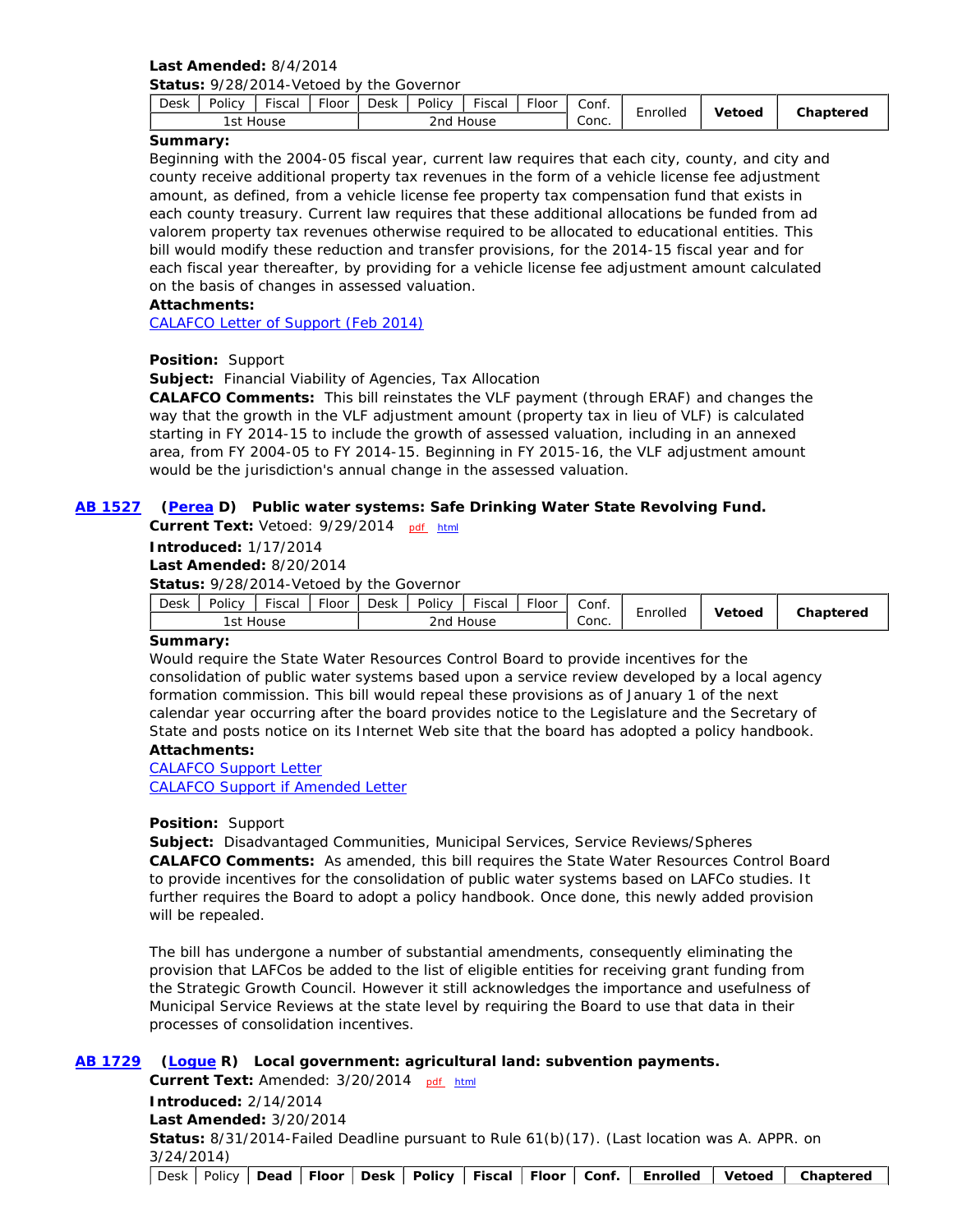# **Last Amended:** 8/4/2014

**Status:** 9/28/2014-Vetoed by the Governor

| Desk | Policy | $- \cdot$<br>Fiscal | --<br>rloor | <b>Desk</b>  | Policy | Fiscal | -<br>Floor | Conf.                             | Inrolled | Vetoed | Chaptered |
|------|--------|---------------------|-------------|--------------|--------|--------|------------|-----------------------------------|----------|--------|-----------|
|      | lst    | House               |             | House<br>2nd |        |        |            | $\overline{\phantom{a}}$<br>Conc. |          |        |           |

### **Summary:**

Beginning with the 2004-05 fiscal year, current law requires that each city, county, and city and county receive additional property tax revenues in the form of a vehicle license fee adjustment amount, as defined, from a vehicle license fee property tax compensation fund that exists in each county treasury. Current law requires that these additional allocations be funded from ad valorem property tax revenues otherwise required to be allocated to educational entities. This bill would modify these reduction and transfer provisions, for the 2014-15 fiscal year and for each fiscal year thereafter, by providing for a vehicle license fee adjustment amount calculated on the basis of changes in assessed valuation.

### **Attachments:**

CALAFCO Letter of Support (Feb 2014)

### **Position:** Support

**Subject:** Financial Viability of Agencies, Tax Allocation

**CALAFCO Comments:** This bill reinstates the VLF payment (through ERAF) and changes the way that the growth in the VLF adjustment amount (property tax in lieu of VLF) is calculated starting in FY 2014-15 to include the growth of assessed valuation, including in an annexed area, from FY 2004-05 to FY 2014-15. Beginning in FY 2015-16, the VLF adjustment amount would be the jurisdiction's annual change in the assessed valuation.

### **AB 1527 (Perea D) Public water systems: Safe Drinking Water State Revolving Fund.**

**Current Text: Vetoed: 9/29/2014** pdf html

**Introduced:** 1/17/2014

**Last Amended:** 8/20/2014

**Status:** 9/28/2014-Vetoed by the Governor

| Conc.<br>2 <sub>nd</sub><br>1st House<br>House | Desk | Policy | <b>Fiscal</b> | - -<br><b>Floor</b> | Desk | Policy | <u>.</u><br>iscal | $- \cdot$<br>rloor | Conf. | . .      |                | Chaptered |
|------------------------------------------------|------|--------|---------------|---------------------|------|--------|-------------------|--------------------|-------|----------|----------------|-----------|
|                                                |      |        |               |                     |      |        |                   |                    |       | :nrolled | <b>/</b> etoed |           |

### **Summary:**

Would require the State Water Resources Control Board to provide incentives for the consolidation of public water systems based upon a service review developed by a local agency formation commission. This bill would repeal these provisions as of January 1 of the next calendar year occurring after the board provides notice to the Legislature and the Secretary of State and posts notice on its Internet Web site that the board has adopted a policy handbook.

### **Attachments:**

CALAFCO Support Letter CALAFCO Support if Amended Letter

### **Position:** Support

**Subject:** Disadvantaged Communities, Municipal Services, Service Reviews/Spheres **CALAFCO Comments:** As amended, this bill requires the State Water Resources Control Board to provide incentives for the consolidation of public water systems based on LAFCo studies. It further requires the Board to adopt a policy handbook. Once done, this newly added provision will be repealed.

The bill has undergone a number of substantial amendments, consequently eliminating the provision that LAFCos be added to the list of eligible entities for receiving grant funding from the Strategic Growth Council. However it still acknowledges the importance and usefulness of Municipal Service Reviews at the state level by requiring the Board to use that data in their processes of consolidation incentives.

### **AB 1729 (Logue R) Local government: agricultural land: subvention payments.**

Current Text: Amended: 3/20/2014 pdf html **Introduced:** 2/14/2014 **Last Amended:** 3/20/2014 **Status:** 8/31/2014-Failed Deadline pursuant to Rule 61(b)(17). (Last location was A. APPR. on 3/24/2014)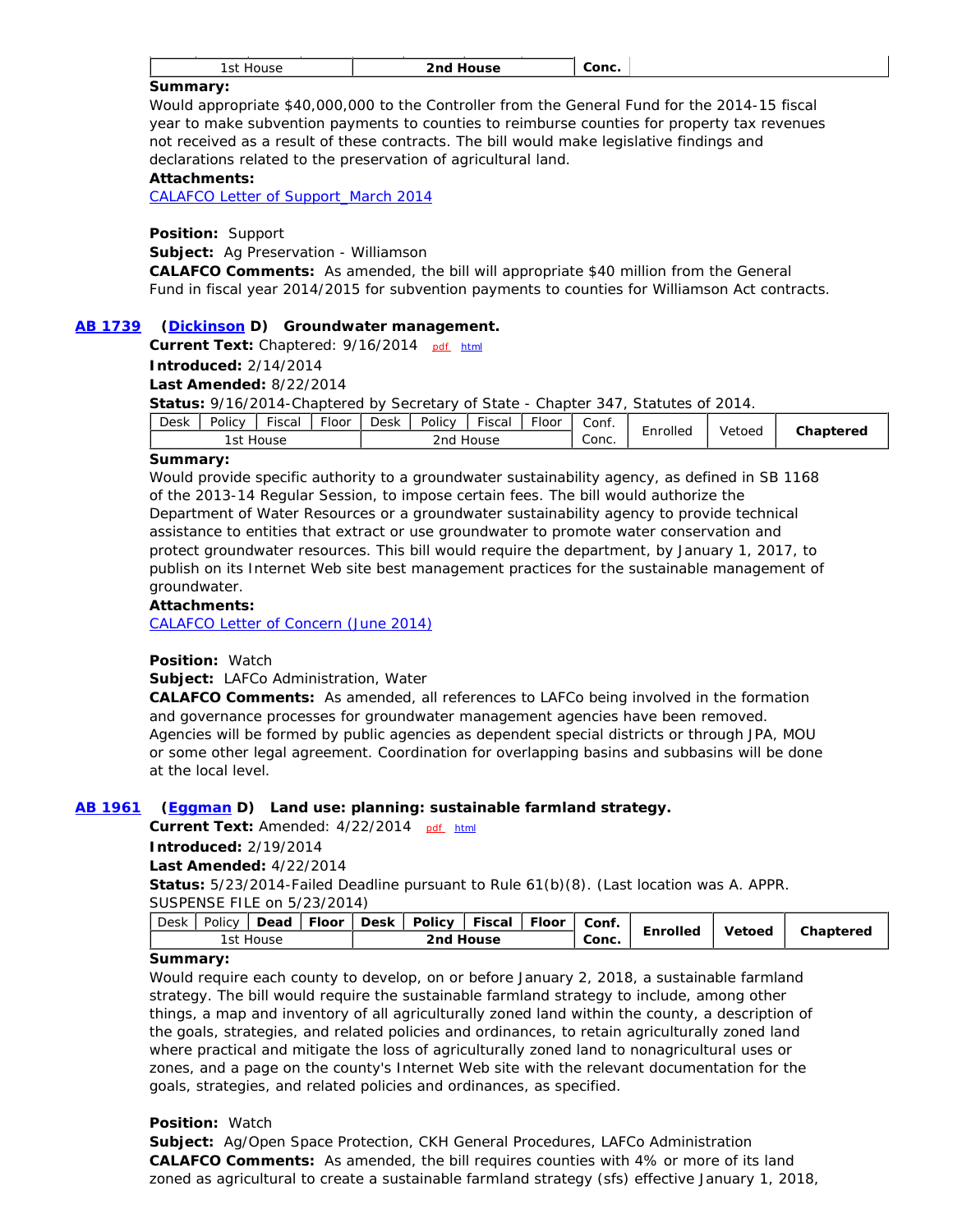| .<br>.<br>. |
|-------------|
|-------------|

#### **Summary:**

Would appropriate \$40,000,000 to the Controller from the General Fund for the 2014-15 fiscal year to make subvention payments to counties to reimburse counties for property tax revenues not received as a result of these contracts. The bill would make legislative findings and declarations related to the preservation of agricultural land.

#### **Attachments:**

CALAFCO Letter of Support\_March 2014

**Position:** Support

**Subject:** Ag Preservation - Williamson

**CALAFCO Comments:** As amended, the bill will appropriate \$40 million from the General Fund in fiscal year 2014/2015 for subvention payments to counties for Williamson Act contracts.

#### **AB 1739 (Dickinson D) Groundwater management.**

**Current Text:** Chaptered: 9/16/2014 pdf html

**Introduced:** 2/14/2014

**Last Amended:** 8/22/2014

**Status:** 9/16/2014-Chaptered by Secretary of State - Chapter 347, Statutes of 2014.

| Desk<br>Policy | $- \cdot$<br>Fiscal | $- \cdot$<br>·loor | Desk | Policy | <u>.</u><br>Fiscal | -<br>Floor | Conf. | $\overline{\phantom{0}}$ |        | Chaptered |
|----------------|---------------------|--------------------|------|--------|--------------------|------------|-------|--------------------------|--------|-----------|
| ı st           | House               |                    |      | 2nd    | House              |            | Conc. | Enrolled                 | Vetoed |           |

#### **Summary:**

Would provide specific authority to a groundwater sustainability agency, as defined in SB 1168 of the 2013-14 Regular Session, to impose certain fees. The bill would authorize the Department of Water Resources or a groundwater sustainability agency to provide technical assistance to entities that extract or use groundwater to promote water conservation and protect groundwater resources. This bill would require the department, by January 1, 2017, to publish on its Internet Web site best management practices for the sustainable management of groundwater.

#### **Attachments:**

CALAFCO Letter of Concern (June 2014)

#### **Position:** Watch

**Subject:** LAFCo Administration, Water

**CALAFCO Comments:** As amended, all references to LAFCo being involved in the formation and governance processes for groundwater management agencies have been removed. Agencies will be formed by public agencies as dependent special districts or through JPA, MOU or some other legal agreement. Coordination for overlapping basins and subbasins will be done at the local level.

#### **AB 1961 (Eggman D) Land use: planning: sustainable farmland strategy.**

Current Text: Amended: 4/22/2014 pdf html

**Introduced:** 2/19/2014

#### **Last Amended:** 4/22/2014

**Status:** 5/23/2014-Failed Deadline pursuant to Rule 61(b)(8). (Last location was A. APPR. SUSPENSE FILE on 5/23/2014)

|           |  |  |  | Desk   Policy   Dead   Floor   Desk   Policy   Fiscal   Floor   Conf. |  |       | Enrolled | Vetoed | Chaptered |
|-----------|--|--|--|-----------------------------------------------------------------------|--|-------|----------|--------|-----------|
| 1st House |  |  |  | 2nd House                                                             |  | Conc. |          |        |           |

#### **Summary:**

Would require each county to develop, on or before January 2, 2018, a sustainable farmland strategy. The bill would require the sustainable farmland strategy to include, among other things, a map and inventory of all agriculturally zoned land within the county, a description of the goals, strategies, and related policies and ordinances, to retain agriculturally zoned land where practical and mitigate the loss of agriculturally zoned land to nonagricultural uses or zones, and a page on the county's Internet Web site with the relevant documentation for the goals, strategies, and related policies and ordinances, as specified.

### **Position:** Watch

**Subject:** Ag/Open Space Protection, CKH General Procedures, LAFCo Administration **CALAFCO Comments:** As amended, the bill requires counties with 4% or more of its land zoned as agricultural to create a sustainable farmland strategy (sfs) effective January 1, 2018,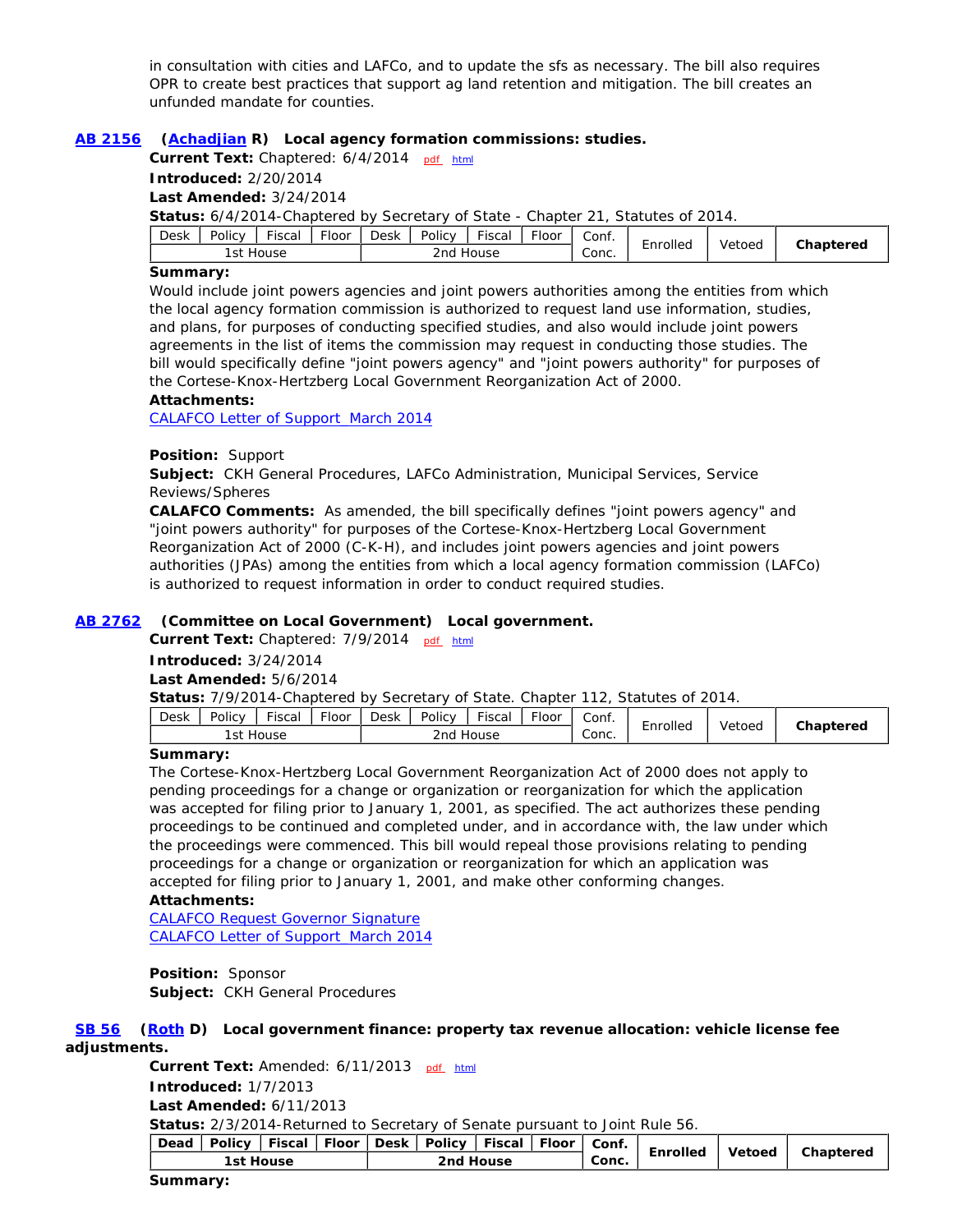in consultation with cities and LAFCo, and to update the sfs as necessary. The bill also requires OPR to create best practices that support ag land retention and mitigation. The bill creates an unfunded mandate for counties.

### **AB 2156 (Achadjian R) Local agency formation commissions: studies.**

**Current Text:** Chaptered: 6/4/2014 pdf html

**Introduced:** 2/20/2014

**Last Amended:** 3/24/2014

**Status:** 6/4/2014-Chaptered by Secretary of State - Chapter 21, Statutes of 2014.

| <b>Desk</b><br>Fiscal<br>Policy | - -<br>Floor | Desk         | $- \cdot$<br>Policy<br>Fiscal<br>-loor |  |  |                                   | -<br>Enrolled | Vetoed | Chaptered |
|---------------------------------|--------------|--------------|----------------------------------------|--|--|-----------------------------------|---------------|--------|-----------|
| ı st<br>House                   |              | 2nd<br>House |                                        |  |  | $\overline{\phantom{0}}$<br>Conc. |               |        |           |

### **Summary:**

Would include joint powers agencies and joint powers authorities among the entities from which the local agency formation commission is authorized to request land use information, studies, and plans, for purposes of conducting specified studies, and also would include joint powers agreements in the list of items the commission may request in conducting those studies. The bill would specifically define "joint powers agency" and "joint powers authority" for purposes of the Cortese-Knox-Hertzberg Local Government Reorganization Act of 2000.

#### **Attachments:**

CALAFCO Letter of Support\_March 2014

#### **Position:** Support

**Subject:** CKH General Procedures, LAFCo Administration, Municipal Services, Service Reviews/Spheres

**CALAFCO Comments:** As amended, the bill specifically defines "joint powers agency" and "joint powers authority" for purposes of the Cortese-Knox-Hertzberg Local Government Reorganization Act of 2000 (C-K-H), and includes joint powers agencies and joint powers authorities (JPAs) among the entities from which a local agency formation commission (LAFCo) is authorized to request information in order to conduct required studies.

#### **AB 2762 (Committee on Local Government) Local government.**

Current Text: Chaptered: 7/9/2014 pdf html

**Introduced:** 3/24/2014

**Last Amended:** 5/6/2014

**Status:** 7/9/2014-Chaptered by Secretary of State. Chapter 112, Statutes of 2014.

| Desk | Policy | $- \cdot$<br>Fiscal | - -<br>Floor | <b>Desk</b> | Policy | <u>.</u><br>∙iscal | . loor | Conf.      | <br>-    |        | Chaptered |
|------|--------|---------------------|--------------|-------------|--------|--------------------|--------|------------|----------|--------|-----------|
|      | ı St   | House               |              |             | 2nd    | House              |        | ⌒<br>Conc. | Enrolled | Vetoed |           |

#### **Summary:**

The Cortese-Knox-Hertzberg Local Government Reorganization Act of 2000 does not apply to pending proceedings for a change or organization or reorganization for which the application was accepted for filing prior to January 1, 2001, as specified. The act authorizes these pending proceedings to be continued and completed under, and in accordance with, the law under which the proceedings were commenced. This bill would repeal those provisions relating to pending proceedings for a change or organization or reorganization for which an application was accepted for filing prior to January 1, 2001, and make other conforming changes.

## **Attachments:**

CALAFCO Request Governor Signature CALAFCO Letter of Support\_March 2014

**Position:** Sponsor **Subject:** CKH General Procedures

 **SB 56 (Roth D) Local government finance: property tax revenue allocation: vehicle license fee adjustments.**

> Current Text: Amended: 6/11/2013 pdf html **Introduced:** 1/7/2013 **Last Amended:** 6/11/2013 **Status:** 2/3/2014-Returned to Secretary of Senate pursuant to Joint Rule 56. Dead | Policy | Fiscal | Floor | Desk | Policy | Fiscal | Floor | Conf.

**Conc. Concernside Chaptered** Conc. **Enrolled** Vetoed Chaptered<br>1st House 2nd House 2nd House 2nd Conc. **2nd House** 

#### **Summary:**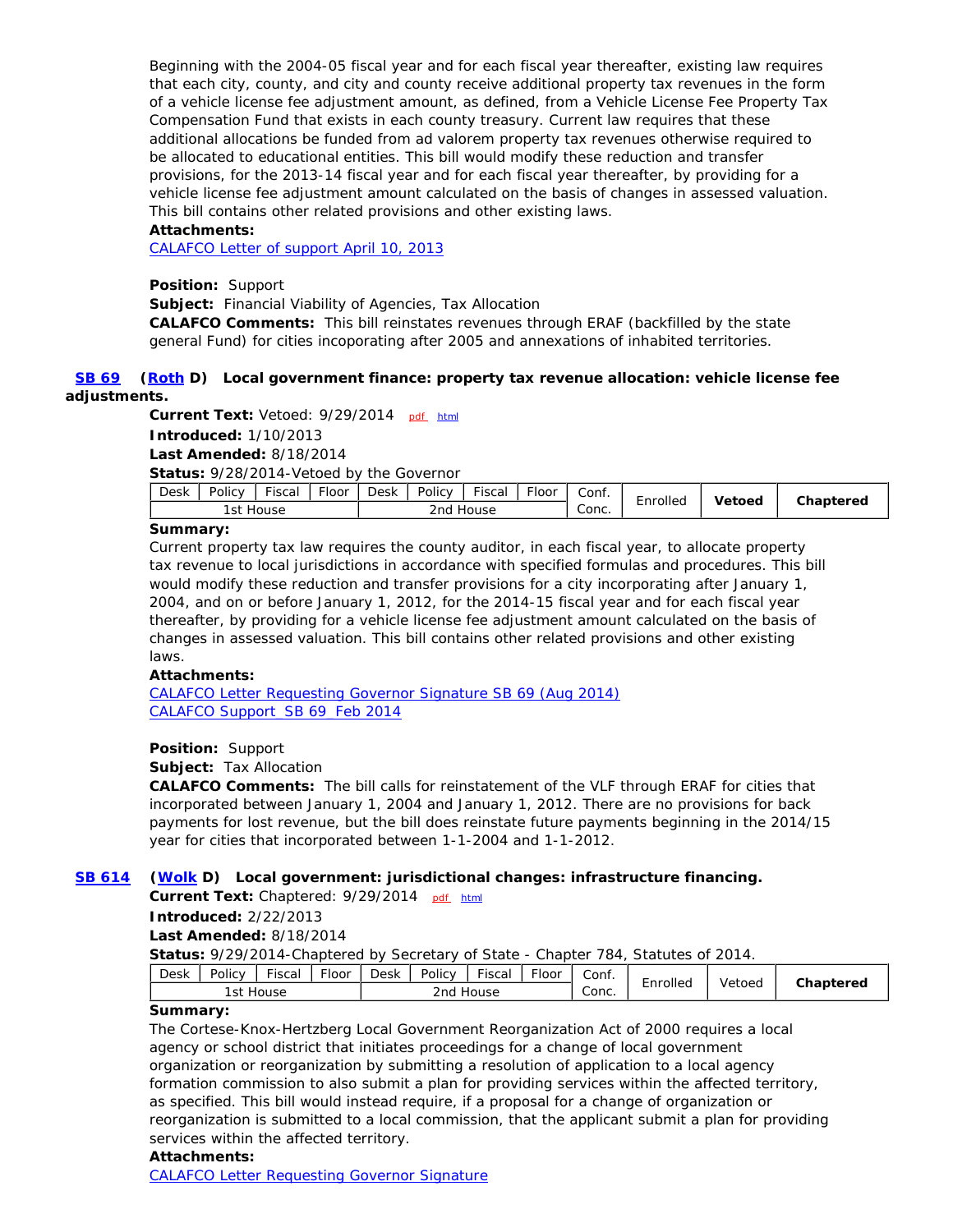Beginning with the 2004-05 fiscal year and for each fiscal year thereafter, existing law requires that each city, county, and city and county receive additional property tax revenues in the form of a vehicle license fee adjustment amount, as defined, from a Vehicle License Fee Property Tax Compensation Fund that exists in each county treasury. Current law requires that these additional allocations be funded from ad valorem property tax revenues otherwise required to be allocated to educational entities. This bill would modify these reduction and transfer provisions, for the 2013-14 fiscal year and for each fiscal year thereafter, by providing for a vehicle license fee adjustment amount calculated on the basis of changes in assessed valuation. This bill contains other related provisions and other existing laws.

### **Attachments:**

CALAFCO Letter of support April 10, 2013

**Position:** Support

**Subject:** Financial Viability of Agencies, Tax Allocation

**CALAFCO Comments:** This bill reinstates revenues through ERAF (backfilled by the state general Fund) for cities incoporating after 2005 and annexations of inhabited territories.

### **SB 69 (Roth D) Local government finance: property tax revenue allocation: vehicle license fee adjustments.**

Current Text: Vetoed: 9/29/2014 pdf html **Introduced:** 1/10/2013 **Last Amended:** 8/18/2014

**Status:** 9/28/2014-Vetoed by the Governor

| Desk | Policy       | $- \cdot$<br>-iscal | $- \cdot$<br><b>Floor</b> | <b>Desk</b> | Policy | $- \cdot$<br>Fiscal | $-$<br>·loor | Conf. | -        | <b>Vetoed</b> | Chaptered |
|------|--------------|---------------------|---------------------------|-------------|--------|---------------------|--------------|-------|----------|---------------|-----------|
|      | 1st<br>House |                     |                           |             | 2nd    | House               |              | Conc. | Enrolled |               |           |

### **Summary:**

Current property tax law requires the county auditor, in each fiscal year, to allocate property tax revenue to local jurisdictions in accordance with specified formulas and procedures. This bill would modify these reduction and transfer provisions for a city incorporating after January 1, 2004, and on or before January 1, 2012, for the 2014-15 fiscal year and for each fiscal year thereafter, by providing for a vehicle license fee adjustment amount calculated on the basis of changes in assessed valuation. This bill contains other related provisions and other existing laws.

### **Attachments:**

CALAFCO Letter Requesting Governor Signature SB 69 (Aug 2014) CALAFCO Support\_SB 69\_Feb 2014

### **Position:** Support

**Subject:** Tax Allocation

**CALAFCO Comments:** The bill calls for reinstatement of the VLF through ERAF for cities that incorporated between January 1, 2004 and January 1, 2012. There are no provisions for back payments for lost revenue, but the bill does reinstate future payments beginning in the 2014/15 year for cities that incorporated between 1-1-2004 and 1-1-2012.

### **SB 614 (Wolk D) Local government: jurisdictional changes: infrastructure financing.**

Current Text: Chaptered: 9/29/2014 pdf html

**Introduced:** 2/22/2013

### **Last Amended:** 8/18/2014

**Status:** 9/29/2014-Chaptered by Secretary of State - Chapter 784, Statutes of 2014.

| <b>Desk</b> | $- \cdot$<br>$- \cdot$<br>Policy<br>Floor<br>Fiscal |       |  |  | $\overline{\phantom{a}}$<br><b>Desk</b><br>Fiscal<br>Policy<br>Floor |       |  |                                   | -<br>    | Vetoed | Chaptered |
|-------------|-----------------------------------------------------|-------|--|--|----------------------------------------------------------------------|-------|--|-----------------------------------|----------|--------|-----------|
|             | l st                                                | House |  |  | 2nd                                                                  | House |  | $\overline{\phantom{a}}$<br>Conc. | chrolled |        |           |

#### **Summary:**

The Cortese-Knox-Hertzberg Local Government Reorganization Act of 2000 requires a local agency or school district that initiates proceedings for a change of local government organization or reorganization by submitting a resolution of application to a local agency formation commission to also submit a plan for providing services within the affected territory, as specified. This bill would instead require, if a proposal for a change of organization or reorganization is submitted to a local commission, that the applicant submit a plan for providing services within the affected territory.

### **Attachments:**

CALAFCO Letter Requesting Governor Signature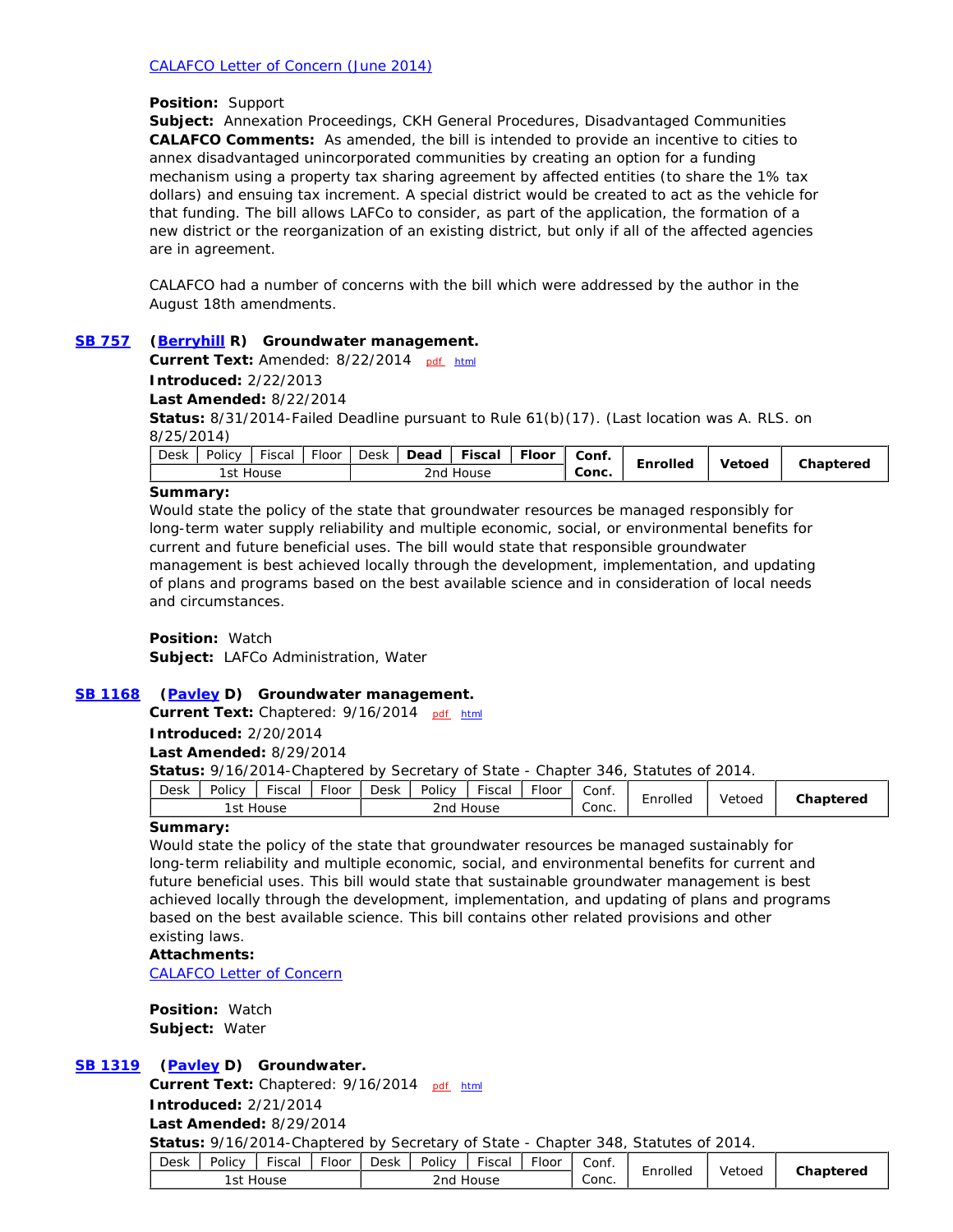#### **Position:** Support

**Subject:** Annexation Proceedings, CKH General Procedures, Disadvantaged Communities **CALAFCO Comments:** As amended, the bill is intended to provide an incentive to cities to annex disadvantaged unincorporated communities by creating an option for a funding mechanism using a property tax sharing agreement by affected entities (to share the 1% tax dollars) and ensuing tax increment. A special district would be created to act as the vehicle for that funding. The bill allows LAFCo to consider, as part of the application, the formation of a new district or the reorganization of an existing district, but only if all of the affected agencies are in agreement.

CALAFCO had a number of concerns with the bill which were addressed by the author in the August 18th amendments.

#### **SB 757 (Berryhill R) Groundwater management.**

Current Text: Amended: 8/22/2014 pdf html **Introduced:** 2/22/2013

**Last Amended:** 8/22/2014

**Status:** 8/31/2014-Failed Deadline pursuant to Rule 61(b)(17). (Last location was A. RLS. on 8/25/2014)

| Desk<br>$- \cdot$<br>Policy<br>Fiscal<br>. loor | $F$ loor<br>Desk<br>Fiscal<br>Dead | Conf.<br>-<br>Enrolled | Vetoed | Chaptered |
|-------------------------------------------------|------------------------------------|------------------------|--------|-----------|
| House<br>l st                                   | 2nd<br>House                       | Conc.                  |        |           |

#### **Summary:**

Would state the policy of the state that groundwater resources be managed responsibly for long-term water supply reliability and multiple economic, social, or environmental benefits for current and future beneficial uses. The bill would state that responsible groundwater management is best achieved locally through the development, implementation, and updating of plans and programs based on the best available science and in consideration of local needs and circumstances.

**Position:** Watch **Subject:** LAFCo Administration, Water

### **SB 1168 (Pavley D) Groundwater management.**

**Current Text:** Chaptered: 9/16/2014 pdf html

**Introduced:** 2/20/2014

**Last Amended:** 8/29/2014

**Status:** 9/16/2014-Chaptered by Secretary of State - Chapter 346, Statutes of 2014.

| Conc.<br>2nd<br>l st<br>House<br>House | Desk | Policy | $- \cdot$<br>Fiscal | $- \cdot$<br>iloor! | <b>Desk</b> | Policy | <u>.</u><br>Fiscal | -<br>Floor | Conf. | -<br>    | Vetoed | Chaptered |
|----------------------------------------|------|--------|---------------------|---------------------|-------------|--------|--------------------|------------|-------|----------|--------|-----------|
|                                        |      |        |                     |                     |             |        |                    |            |       | Enrolled |        |           |

### **Summary:**

Would state the policy of the state that groundwater resources be managed sustainably for long-term reliability and multiple economic, social, and environmental benefits for current and future beneficial uses. This bill would state that sustainable groundwater management is best achieved locally through the development, implementation, and updating of plans and programs based on the best available science. This bill contains other related provisions and other existing laws.

**Attachments:**

CALAFCO Letter of Concern

**Position:** Watch **Subject:** Water

### **SB 1319 (Pavley D) Groundwater.**

Current Text: Chaptered: 9/16/2014 pdf html

**Introduced:** 2/21/2014

**Last Amended:** 8/29/2014

**Status:** 9/16/2014-Chaptered by Secretary of State - Chapter 348, Statutes of 2014.

| Policy<br>$- \cdot$<br>Desk<br>Fiscal<br><b>Floor</b> | $ -$<br>- -<br>Policy<br>$\overline{\phantom{0}}$<br>Fiscal<br>Desk<br>Floor | Conf.<br><br>-    |        | Chaptered |
|-------------------------------------------------------|------------------------------------------------------------------------------|-------------------|--------|-----------|
| 'st<br>House                                          | House<br>2nd.                                                                | Enrolled<br>Conc. | Vetoed |           |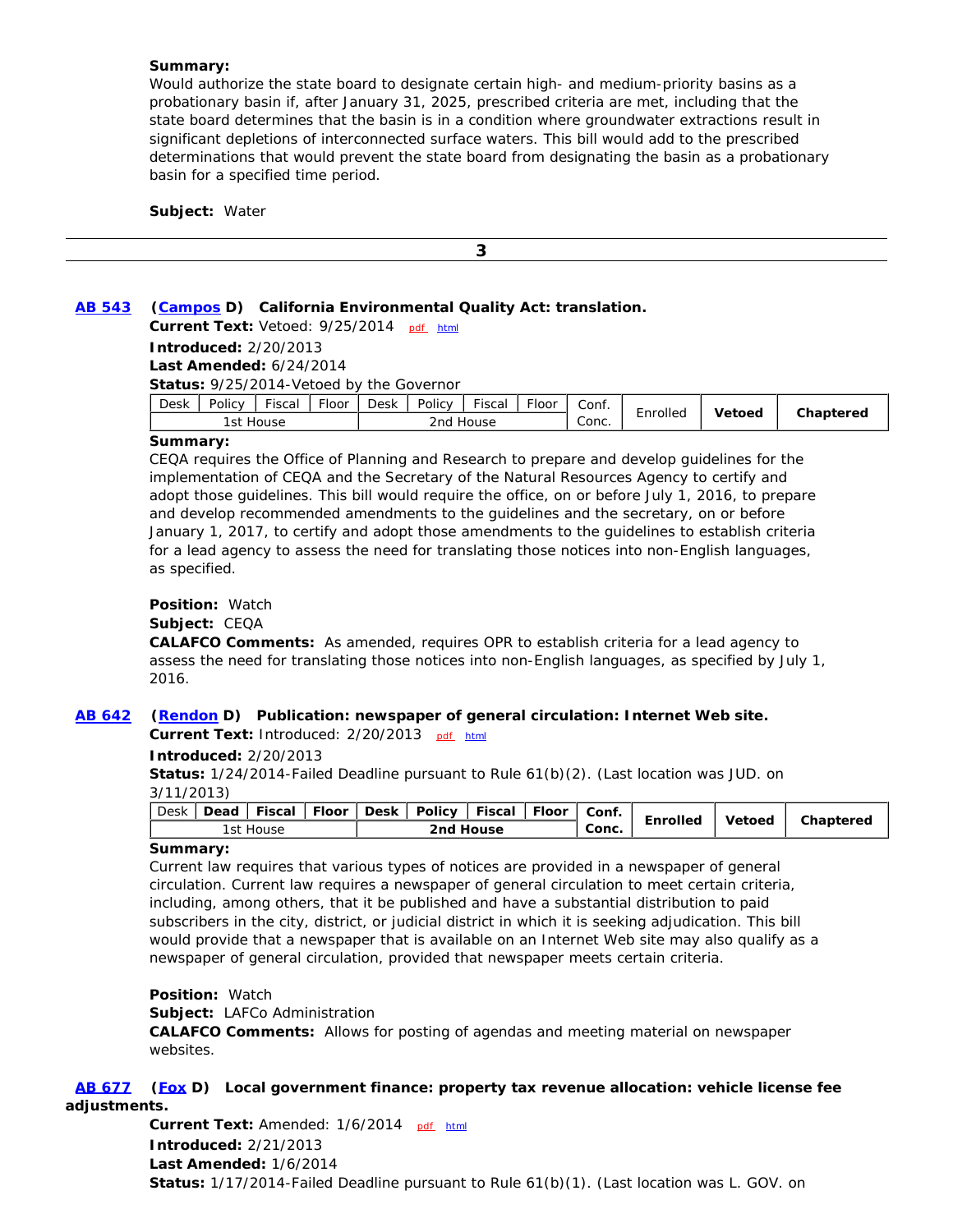#### **Summary:**

Would authorize the state board to designate certain high- and medium-priority basins as a probationary basin if, after January 31, 2025, prescribed criteria are met, including that the state board determines that the basin is in a condition where groundwater extractions result in significant depletions of interconnected surface waters. This bill would add to the prescribed determinations that would prevent the state board from designating the basin as a probationary basin for a specified time period.

**Subject:** Water

 **3**

### **AB 543 (Campos D) California Environmental Quality Act: translation.**

Current Text: Vetoed: 9/25/2014 pdf html **Introduced:** 2/20/2013 **Last Amended:** 6/24/2014 **Status:** 9/25/2014-Vetoed by the Governor

| $- \cdot$<br><u>.</u><br>Policy<br>Desk<br><b>Floor</b><br>Fiscal | $  -$<br><b>Desk</b><br>$- \cdot$<br>Policy<br>Floor<br>isca | Conf.<br>:nrolled | Vetoed | Chaptered |
|-------------------------------------------------------------------|--------------------------------------------------------------|-------------------|--------|-----------|
| l st<br>House                                                     | 2nd<br>House                                                 | Conc.             |        |           |

#### **Summary:**

CEQA requires the Office of Planning and Research to prepare and develop guidelines for the implementation of CEQA and the Secretary of the Natural Resources Agency to certify and adopt those guidelines. This bill would require the office, on or before July 1, 2016, to prepare and develop recommended amendments to the guidelines and the secretary, on or before January 1, 2017, to certify and adopt those amendments to the guidelines to establish criteria for a lead agency to assess the need for translating those notices into non-English languages, as specified.

### **Position:** Watch

**Subject:** CEQA

**CALAFCO Comments:** As amended, requires OPR to establish criteria for a lead agency to assess the need for translating those notices into non-English languages, as specified by July 1, 2016.

### **AB 642 (Rendon D) Publication: newspaper of general circulation: Internet Web site.**

Current Text: Introduced: 2/20/2013 pdf html

**Introduced:** 2/20/2013

**Status:** 1/24/2014-Failed Deadline pursuant to Rule 61(b)(2). (Last location was JUD. on 3/11/2013)

| <b>Desk</b><br>l Fiscal<br>Floor<br><b>Dead</b> | ' Desk   Policy   Fiscal   Floor | Conf.<br>Enrolled | Chaptered<br><b>Vetoed</b> |
|-------------------------------------------------|----------------------------------|-------------------|----------------------------|
| 1st House                                       | 2nd House                        | Conc.             |                            |

#### **Summary:**

Current law requires that various types of notices are provided in a newspaper of general circulation. Current law requires a newspaper of general circulation to meet certain criteria, including, among others, that it be published and have a substantial distribution to paid subscribers in the city, district, or judicial district in which it is seeking adjudication. This bill would provide that a newspaper that is available on an Internet Web site may also qualify as a newspaper of general circulation, provided that newspaper meets certain criteria.

**Position:** Watch

**Subject:** LAFCo Administration

**CALAFCO Comments:** Allows for posting of agendas and meeting material on newspaper websites.

 **AB 677 (Fox D) Local government finance: property tax revenue allocation: vehicle license fee adjustments.**

> **Current Text:** Amended: 1/6/2014 pdf html **Introduced:** 2/21/2013 **Last Amended:** 1/6/2014 **Status:** 1/17/2014-Failed Deadline pursuant to Rule 61(b)(1). (Last location was L. GOV. on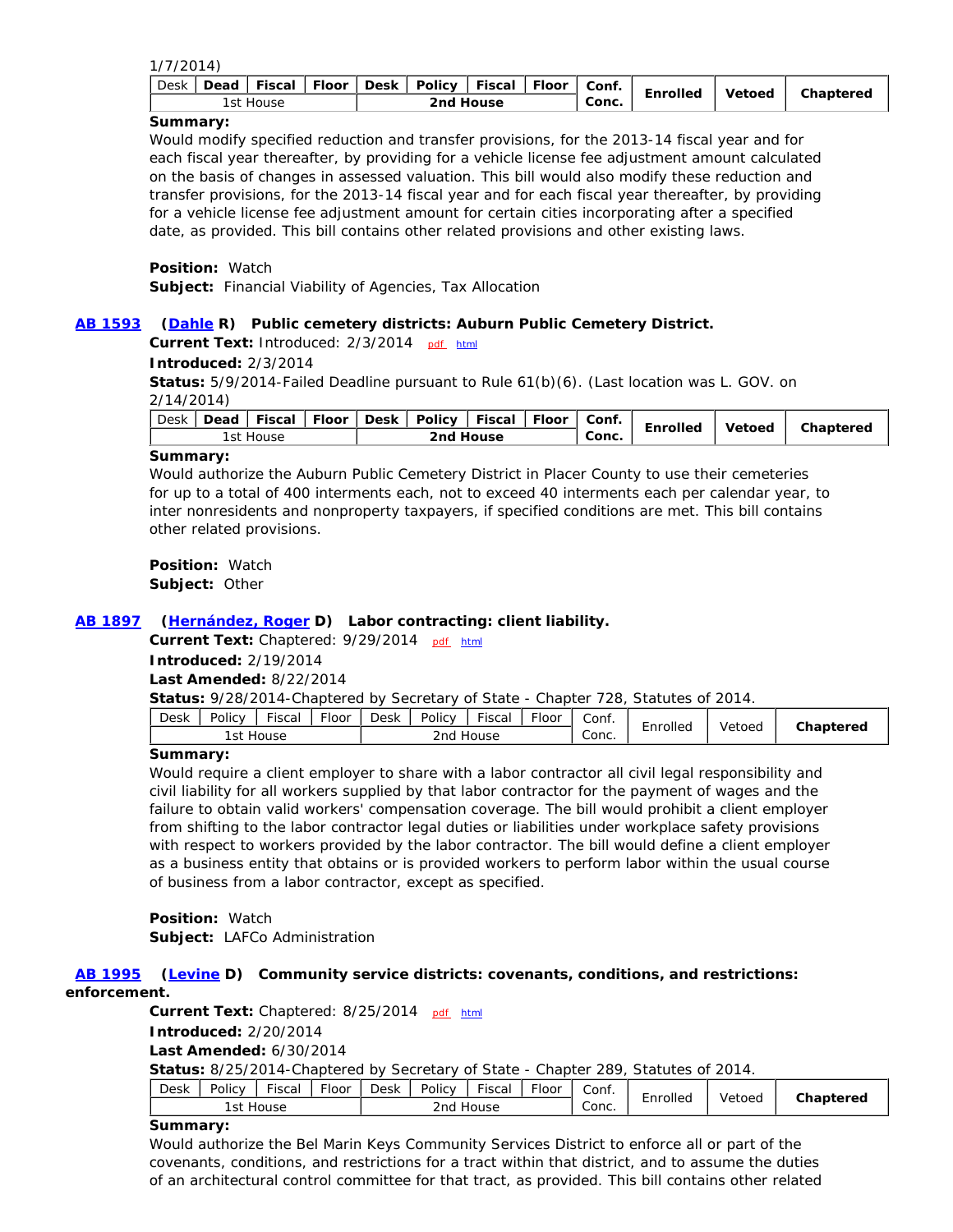|--|--|

| <b>Desk</b><br>Dead   Fiscal | Fiscal   Floor<br>Floor   Desk   Policy | Conf.<br>Enrolled | Vetoed | Chaptered |
|------------------------------|-----------------------------------------|-------------------|--------|-----------|
| 1st House                    | 2nd House                               | Conc.             |        |           |

**Summary:**

Would modify specified reduction and transfer provisions, for the 2013-14 fiscal year and for each fiscal year thereafter, by providing for a vehicle license fee adjustment amount calculated on the basis of changes in assessed valuation. This bill would also modify these reduction and transfer provisions, for the 2013-14 fiscal year and for each fiscal year thereafter, by providing for a vehicle license fee adjustment amount for certain cities incorporating after a specified date, as provided. This bill contains other related provisions and other existing laws.

**Position:** Watch

**Subject:** Financial Viability of Agencies, Tax Allocation

### **AB 1593 (Dahle R) Public cemetery districts: Auburn Public Cemetery District.**

Current Text: Introduced: 2/3/2014 pdf html

#### **Introduced:** 2/3/2014

**Status:** 5/9/2014-Failed Deadline pursuant to Rule 61(b)(6). (Last location was L. GOV. on 2/14/2014)

| Conc.<br>2nd House<br>1st House | Desk |  |  |  |  | Dead   Fiscal   Floor   Desk   Policy   Fiscal   Floor |  |  | Conf. | Enrolled | Vetoed | Chaptered |
|---------------------------------|------|--|--|--|--|--------------------------------------------------------|--|--|-------|----------|--------|-----------|
|                                 |      |  |  |  |  |                                                        |  |  |       |          |        |           |

#### **Summary:**

Would authorize the Auburn Public Cemetery District in Placer County to use their cemeteries for up to a total of 400 interments each, not to exceed 40 interments each per calendar year, to inter nonresidents and nonproperty taxpayers, if specified conditions are met. This bill contains other related provisions.

**Position:** Watch **Subject:** Other

### **AB 1897 (Hernández, Roger D) Labor contracting: client liability.**

**Current Text:** Chaptered: 9/29/2014 pdf html

**Introduced:** 2/19/2014

**Last Amended:** 8/22/2014

**Status:** 9/28/2014-Chaptered by Secretary of State - Chapter 728, Statutes of 2014.

| Desk | Policy | $  -$<br>Fisca | $F$ loor | $- \cdot$<br>Desk<br>$- \cdot$<br>Policy<br>Fiscal<br>rloor |      |       |  | Conf. |          | Vetoed | Chaptered |
|------|--------|----------------|----------|-------------------------------------------------------------|------|-------|--|-------|----------|--------|-----------|
|      | ı st   | House          |          |                                                             | 2nd. | House |  | Conc. | chrolled |        |           |

#### **Summary:**

Would require a client employer to share with a labor contractor all civil legal responsibility and civil liability for all workers supplied by that labor contractor for the payment of wages and the failure to obtain valid workers' compensation coverage. The bill would prohibit a client employer from shifting to the labor contractor legal duties or liabilities under workplace safety provisions with respect to workers provided by the labor contractor. The bill would define a client employer as a business entity that obtains or is provided workers to perform labor within the usual course of business from a labor contractor, except as specified.

**Position:** Watch **Subject:** LAFCo Administration

# **AB 1995 (Levine D) Community service districts: covenants, conditions, and restrictions:**

### **enforcement.**

**Current Text:** Chaptered: 8/25/2014 pdf html **Introduced:** 2/20/2014

#### **Last Amended:** 6/30/2014

**Status:** 8/25/2014-Chaptered by Secretary of State - Chapter 289, Statutes of 2014.

| Floor<br>$- \cdot$<br>Policy<br>Desk<br>-isca | - -<br><b>Fiscal</b><br>Desk<br>Policy<br>-loor | ેonf.<br>Enrolleg | Vetoed | <sup>~</sup> haptered |
|-----------------------------------------------|-------------------------------------------------|-------------------|--------|-----------------------|
| í st<br>House                                 | 2nd<br>House                                    | ∽<br>Conc.        |        |                       |

#### **Summary:**

Would authorize the Bel Marin Keys Community Services District to enforce all or part of the covenants, conditions, and restrictions for a tract within that district, and to assume the duties of an architectural control committee for that tract, as provided. This bill contains other related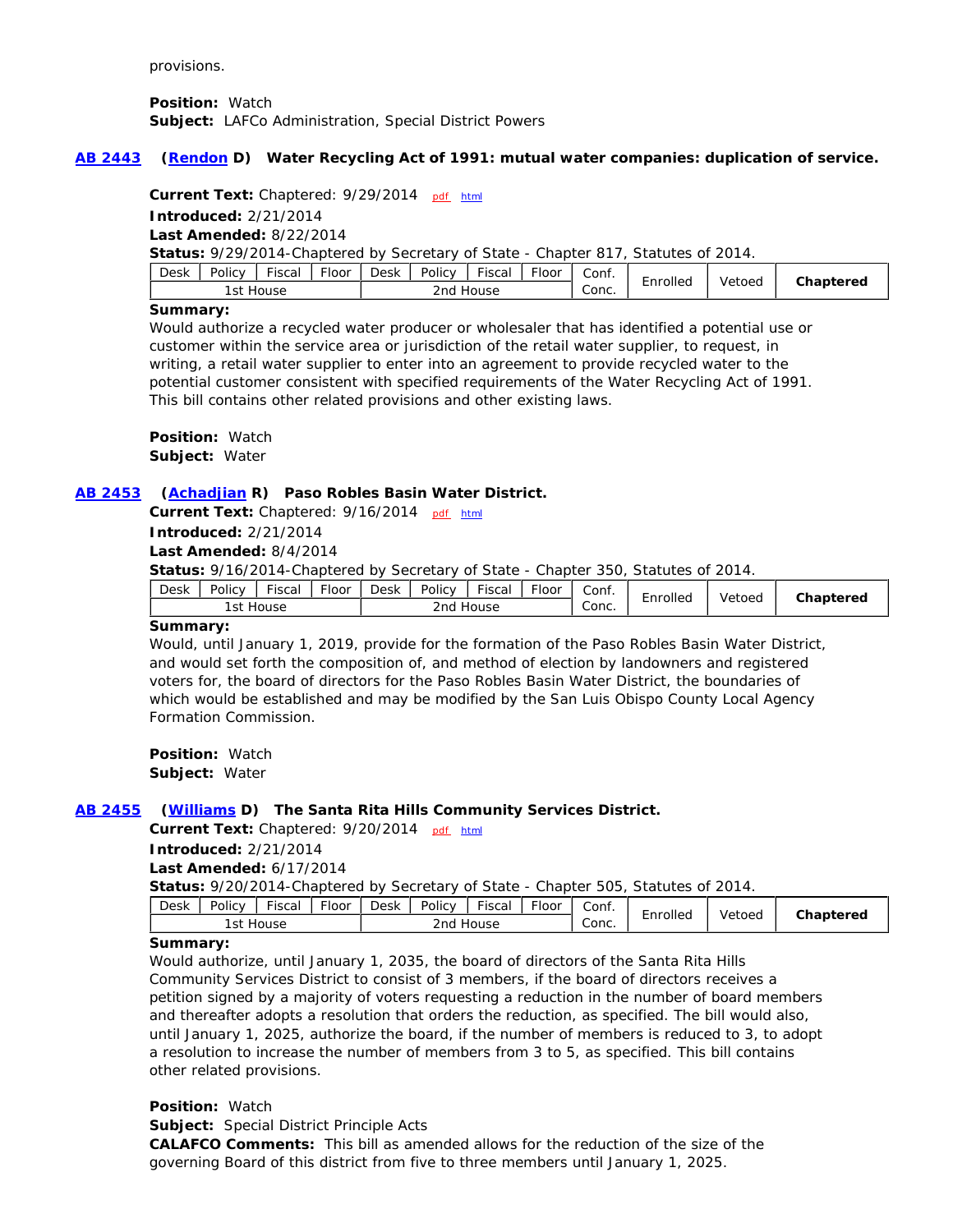provisions.

**Position:** Watch **Subject:** LAFCo Administration, Special District Powers

#### **AB 2443 (Rendon D) Water Recycling Act of 1991: mutual water companies: duplication of service.**

Current Text: Chaptered: 9/29/2014 pdf html

**Introduced:** 2/21/2014 **Last Amended:** 8/22/2014

**Status:** 9/29/2014-Chaptered by Secretary of State - Chapter 817, Statutes of 2014.

| <u>.</u><br>$- \cdot$<br>Policy<br><b>Desk</b><br>Fisca<br>Floor | $-$<br>Policy<br>$- \cdot$<br>-<br>Desk<br>Fiscal<br>rloor | Conf.<br>-        | Vetoed | Chaptered |
|------------------------------------------------------------------|------------------------------------------------------------|-------------------|--------|-----------|
| ı st<br>House                                                    | 2nd.<br>House                                              | Enrolled<br>Conc. |        |           |

#### **Summary:**

Would authorize a recycled water producer or wholesaler that has identified a potential use or customer within the service area or jurisdiction of the retail water supplier, to request, in writing, a retail water supplier to enter into an agreement to provide recycled water to the potential customer consistent with specified requirements of the Water Recycling Act of 1991. This bill contains other related provisions and other existing laws.

**Position:** Watch **Subject:** Water

#### **AB 2453 (Achadjian R) Paso Robles Basin Water District.**

Current Text: Chaptered: 9/16/2014 pdf html

**Introduced:** 2/21/2014

**Last Amended:** 8/4/2014

**Status:** 9/16/2014-Chaptered by Secretary of State - Chapter 350, Statutes of 2014.

| Desk                     | Policy | $- \cdot$<br>Fisca | Floor | Desk         | Policy | Fiscal | rloor | Conf. |          | Vetoed | Chaptered |
|--------------------------|--------|--------------------|-------|--------------|--------|--------|-------|-------|----------|--------|-----------|
| lst.<br>House            |        |                    |       | House<br>2nd |        |        |       | Conc. | cnrolled |        |           |
| $\overline{\phantom{a}}$ |        |                    |       |              |        |        |       |       |          |        |           |

#### **Summary:**

Would, until January 1, 2019, provide for the formation of the Paso Robles Basin Water District, and would set forth the composition of, and method of election by landowners and registered voters for, the board of directors for the Paso Robles Basin Water District, the boundaries of which would be established and may be modified by the San Luis Obispo County Local Agency Formation Commission.

**Position:** Watch **Subject:** Water

### **AB 2455 (Williams D) The Santa Rita Hills Community Services District.**

Current Text: Chaptered: 9/20/2014 pdf html **Introduced:** 2/21/2014

**Last Amended:** 6/17/2014

**Status:** 9/20/2014-Chaptered by Secretary of State - Chapter 505, Statutes of 2014.

| ∽<br>2nd<br>Conc.<br>'st<br>House<br>House | Desk | Policy | $- \cdot$<br>Fiscal | $- \cdot$<br>·loor | Desk | Policy | <b>Fiscal</b> | $F$ loor | Conf. | Enrolled | Vetoed | Chaptered |
|--------------------------------------------|------|--------|---------------------|--------------------|------|--------|---------------|----------|-------|----------|--------|-----------|
|                                            |      |        |                     |                    |      |        |               |          |       |          |        |           |

### **Summary:**

Would authorize, until January 1, 2035, the board of directors of the Santa Rita Hills Community Services District to consist of 3 members, if the board of directors receives a petition signed by a majority of voters requesting a reduction in the number of board members and thereafter adopts a resolution that orders the reduction, as specified. The bill would also, until January 1, 2025, authorize the board, if the number of members is reduced to 3, to adopt a resolution to increase the number of members from 3 to 5, as specified. This bill contains other related provisions.

### **Position:** Watch

**Subject:** Special District Principle Acts

**CALAFCO Comments:** This bill as amended allows for the reduction of the size of the governing Board of this district from five to three members until January 1, 2025.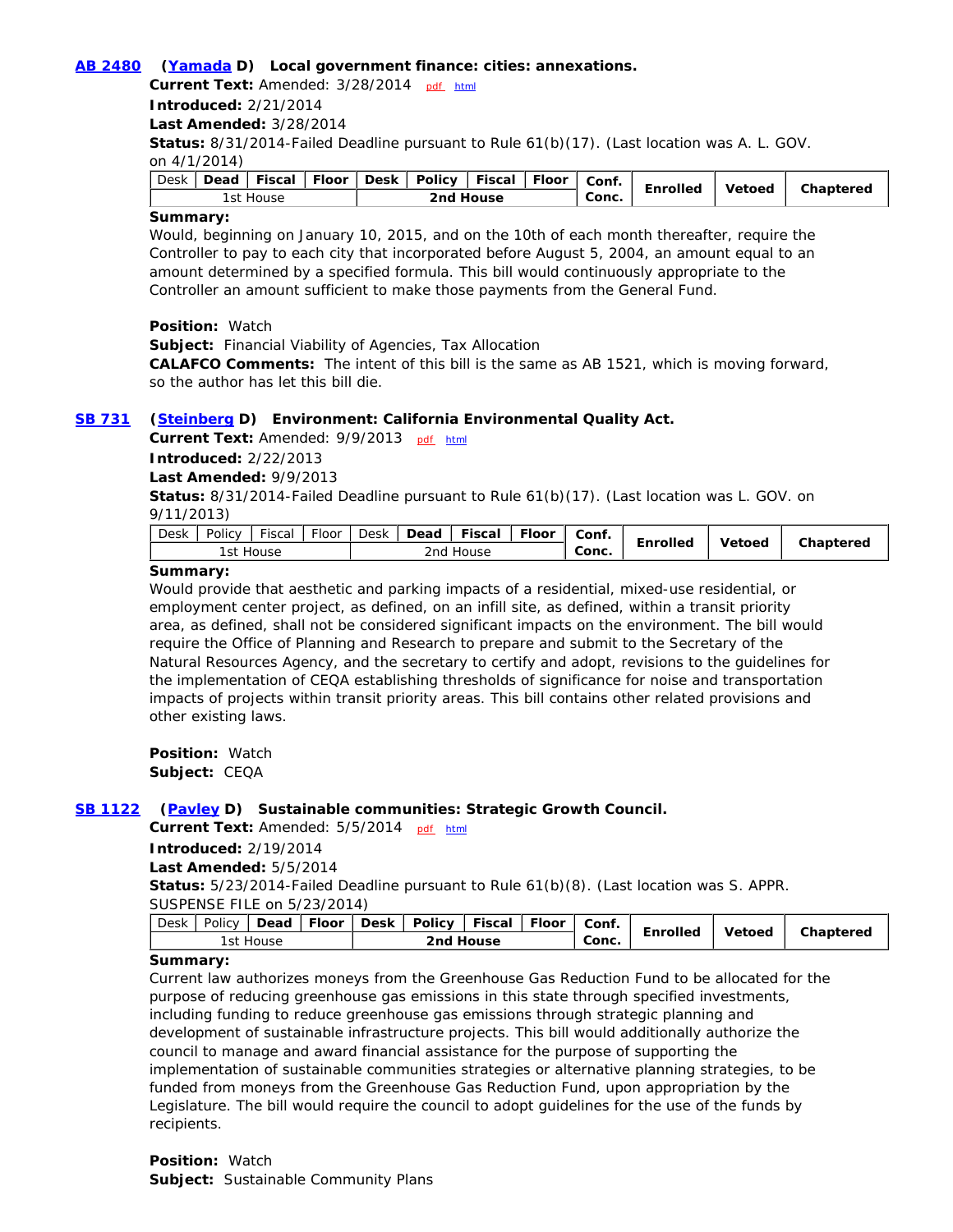#### **AB 2480 (Yamada D) Local government finance: cities: annexations.**

**Current Text: Amended: 3/28/2014** pdf html

**Introduced:** 2/21/2014

**Last Amended:** 3/28/2014

**Status:** 8/31/2014-Failed Deadline pursuant to Rule 61(b)(17). (Last location was A. L. GOV.

on 4/1/2014)

| Desk | Dead      | Fiscal | <b>Floor</b> |  | Desk   Policy | Fiscal | l Floor | Conf. | Enrolled | <b>Vetoed</b> | Chaptered |
|------|-----------|--------|--------------|--|---------------|--------|---------|-------|----------|---------------|-----------|
|      | 1st House |        |              |  | 2nd House     |        |         |       |          |               |           |

### **Summary:**

Would, beginning on January 10, 2015, and on the 10th of each month thereafter, require the Controller to pay to each city that incorporated before August 5, 2004, an amount equal to an amount determined by a specified formula. This bill would continuously appropriate to the Controller an amount sufficient to make those payments from the General Fund.

**Position:** Watch

**Subject:** Financial Viability of Agencies, Tax Allocation

**CALAFCO Comments:** The intent of this bill is the same as AB 1521, which is moving forward, so the author has let this bill die.

### **SB 731 (Steinberg D) Environment: California Environmental Quality Act.**

Current Text: Amended: 9/9/2013 pdf html

**Introduced:** 2/22/2013

**Last Amended:** 9/9/2013

**Status:** 8/31/2014-Failed Deadline pursuant to Rule 61(b)(17). (Last location was L. GOV. on 9/11/2013)

| Desk | Policy | $- \cdot$<br>Fiscal | <b>Floor</b> | Desk         | Dead | Fiscal | <b>Floor</b> | Conf. |          |        |           |
|------|--------|---------------------|--------------|--------------|------|--------|--------------|-------|----------|--------|-----------|
|      | st     | House               |              | 2nd<br>House |      |        |              | Conc. | Enrolled | Vetoed | Chaptered |

#### **Summary:**

Would provide that aesthetic and parking impacts of a residential, mixed-use residential, or employment center project, as defined, on an infill site, as defined, within a transit priority area, as defined, shall not be considered significant impacts on the environment. The bill would require the Office of Planning and Research to prepare and submit to the Secretary of the Natural Resources Agency, and the secretary to certify and adopt, revisions to the guidelines for the implementation of CEQA establishing thresholds of significance for noise and transportation impacts of projects within transit priority areas. This bill contains other related provisions and other existing laws.

**Position:** Watch **Subject:** CEQA

### **SB 1122 (Pavley D) Sustainable communities: Strategic Growth Council.**

Current Text: Amended: 5/5/2014 pdf html

**Introduced:** 2/19/2014

**Last Amended:** 5/5/2014

**Status:** 5/23/2014-Failed Deadline pursuant to Rule 61(b)(8). (Last location was S. APPR. SUSPENSE FILE on 5/23/2014)

| $\sum_{i=1}^{n}$ |  |  |  |           | Policy   Dead   Floor   Desk   Policy   Fiscal   Floor   Conf. |  |  |       |          |        | Chaptered |
|------------------|--|--|--|-----------|----------------------------------------------------------------|--|--|-------|----------|--------|-----------|
| 1st House        |  |  |  | 2nd House |                                                                |  |  | Conc. | Enrolled | Vetoed |           |

#### **Summary:**

Current law authorizes moneys from the Greenhouse Gas Reduction Fund to be allocated for the purpose of reducing greenhouse gas emissions in this state through specified investments, including funding to reduce greenhouse gas emissions through strategic planning and development of sustainable infrastructure projects. This bill would additionally authorize the council to manage and award financial assistance for the purpose of supporting the implementation of sustainable communities strategies or alternative planning strategies, to be funded from moneys from the Greenhouse Gas Reduction Fund, upon appropriation by the Legislature. The bill would require the council to adopt guidelines for the use of the funds by recipients.

**Position:** Watch **Subject:** Sustainable Community Plans